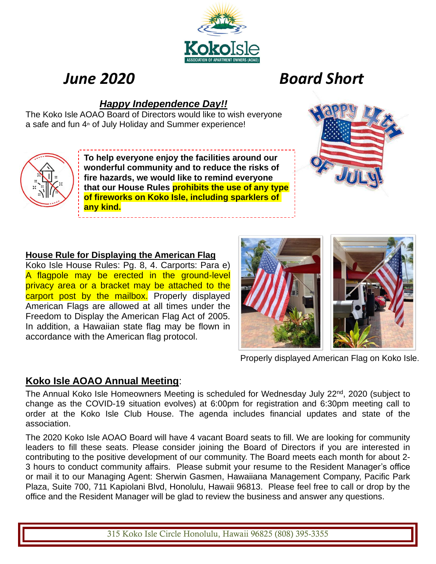# *June 2020 Board Short*

# *Happy Independence Day!!*

The Koko Isle AOAO Board of Directors would like to wish everyone a safe and fun 4<sup>th</sup> of July Holiday and Summer experience!



**To help everyone enjoy the facilities around our wonderful community and to reduce the risks of fire hazards, we would like to remind everyone that our House Rules prohibits the use of any type of fireworks on Koko Isle, including sparklers of any kind.**



## **House Rule for Displaying the American Flag**

Koko Isle House Rules: Pg. 8, 4. Carports: Para e) A flagpole may be erected in the ground-level privacy area or a bracket may be attached to the carport post by the mailbox. Properly displayed American Flags are allowed at all times under the Freedom to Display the American Flag Act of 2005. In addition, a Hawaiian state flag may be flown in accordance with the American flag protocol.

Properly displayed American Flag on Koko Isle.

# **Koko Isle AOAO Annual Meeting**:

The Annual Koko Isle Homeowners Meeting is scheduled for Wednesday July 22<sup>nd</sup>, 2020 (subject to change as the COVID-19 situation evolves) at 6:00pm for registration and 6:30pm meeting call to order at the Koko Isle Club House. The agenda includes financial updates and state of the association.

The 2020 Koko Isle AOAO Board will have 4 vacant Board seats to fill. We are looking for community leaders to fill these seats. Please consider joining the Board of Directors if you are interested in contributing to the positive development of our community. The Board meets each month for about 2- 3 hours to conduct community affairs. Please submit your resume to the Resident Manager's office or mail it to our Managing Agent: Sherwin Gasmen, Hawaiiana Management Company, Pacific Park Plaza, Suite 700, 711 Kapiolani Blvd, Honolulu, Hawaii 96813. Please feel free to call or drop by the office and the Resident Manager will be glad to review the business and answer any questions.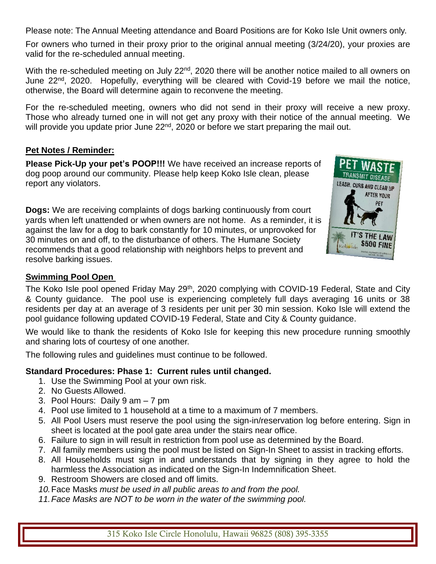Please note: The Annual Meeting attendance and Board Positions are for Koko Isle Unit owners only.

For owners who turned in their proxy prior to the original annual meeting (3/24/20), your proxies are valid for the re-scheduled annual meeting.

With the re-scheduled meeting on July 22<sup>nd</sup>, 2020 there will be another notice mailed to all owners on June 22<sup>nd</sup>, 2020. Hopefully, everything will be cleared with Covid-19 before we mail the notice, otherwise, the Board will determine again to reconvene the meeting.

For the re-scheduled meeting, owners who did not send in their proxy will receive a new proxy. Those who already turned one in will not get any proxy with their notice of the annual meeting. We will provide you update prior June 22<sup>nd</sup>, 2020 or before we start preparing the mail out.

## **Pet Notes / Reminder:**

**Please Pick-Up your pet's POOP!!!** We have received an increase reports of dog poop around our community. Please help keep Koko Isle clean, please report any violators.

**Dogs:** We are receiving complaints of dogs barking continuously from court yards when left unattended or when owners are not home. As a reminder, it is against the law for a dog to bark constantly for 10 minutes, or unprovoked for 30 minutes on and off, to the disturbance of others. The Humane Society recommends that a good relationship with neighbors helps to prevent and resolve barking issues.



## **Swimming Pool Open**

The Koko Isle pool opened Friday May 29<sup>th</sup>, 2020 complying with COVID-19 Federal, State and Citv & County guidance. The pool use is experiencing completely full days averaging 16 units or 38 residents per day at an average of 3 residents per unit per 30 min session. Koko Isle will extend the pool guidance following updated COVID-19 Federal, State and City & County guidance.

We would like to thank the residents of Koko Isle for keeping this new procedure running smoothly and sharing lots of courtesy of one another.

The following rules and guidelines must continue to be followed.

## **Standard Procedures: Phase 1: Current rules until changed.**

- 1. Use the Swimming Pool at your own risk.
- 2. No Guests Allowed.
- 3. Pool Hours: Daily 9 am 7 pm
- 4. Pool use limited to 1 household at a time to a maximum of 7 members.
- 5. All Pool Users must reserve the pool using the sign-in/reservation log before entering. Sign in sheet is located at the pool gate area under the stairs near office.
- 6. Failure to sign in will result in restriction from pool use as determined by the Board.
- 7. All family members using the pool must be listed on Sign-In Sheet to assist in tracking efforts.
- 8. All Households must sign in and understands that by signing in they agree to hold the harmless the Association as indicated on the Sign-In Indemnification Sheet.
- 9. Restroom Showers are closed and off limits.
- *10.*Face Masks *must be used in all public areas to and from the pool.*
- *11.Face Masks are NOT to be worn in the water of the swimming pool.*

315 Koko Isle Circle Honolulu, Hawaii 96825 (808) 395-3355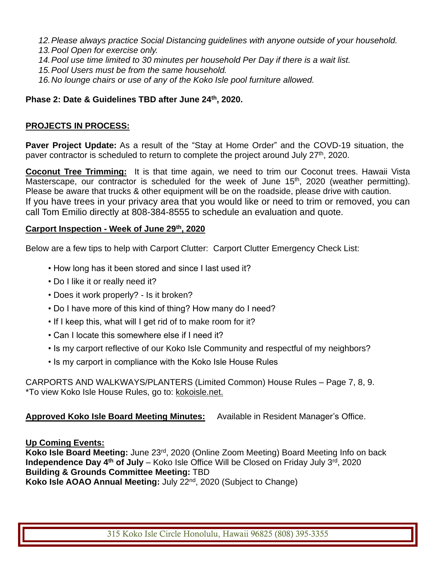*12.Please always practice Social Distancing guidelines with anyone outside of your household. 13.Pool Open for exercise only.*

- *14.Pool use time limited to 30 minutes per household Per Day if there is a wait list.*
- *15.Pool Users must be from the same household.*
- *16.No lounge chairs or use of any of the Koko Isle pool furniture allowed.*

## **Phase 2: Date & Guidelines TBD after June 24th, 2020.**

#### **PROJECTS IN PROCESS:**

**Paver Project Update:** As a result of the "Stay at Home Order" and the COVD-19 situation, the paver contractor is scheduled to return to complete the project around July 27<sup>th</sup>, 2020.

**Coconut Tree Trimming:** It is that time again, we need to trim our Coconut trees. Hawaii Vista Masterscape, our contractor is scheduled for the week of June 15<sup>th</sup>, 2020 (weather permitting). Please be aware that trucks & other equipment will be on the roadside, please drive with caution. If you have trees in your privacy area that you would like or need to trim or removed, you can call Tom Emilio directly at 808-384-8555 to schedule an evaluation and quote.

#### **Carport Inspection - Week of June 29th, 2020**

Below are a few tips to help with Carport Clutter: Carport Clutter Emergency Check List:

- How long has it been stored and since I last used it?
- Do I like it or really need it?
- Does it work properly? Is it broken?
- Do I have more of this kind of thing? How many do I need?
- If I keep this, what will I get rid of to make room for it?
- Can I locate this somewhere else if I need it?
- Is my carport reflective of our Koko Isle Community and respectful of my neighbors?
- Is my carport in compliance with the Koko Isle House Rules

CARPORTS AND WALKWAYS/PLANTERS (Limited Common) House Rules – Page 7, 8, 9. \*To view Koko Isle House Rules, go to: kokoisle.net.

## **Approved Koko Isle Board Meeting Minutes:** Available in Resident Manager's Office.

**Up Coming Events:** 

**Koko Isle Board Meeting:** June 23rd, 2020 (Online Zoom Meeting) Board Meeting Info on back **Independence Day 4<sup>th</sup> of July** – Koko Isle Office Will be Closed on Friday July 3<sup>rd</sup>, 2020 **Building & Grounds Committee Meeting:** TBD **Koko Isle AOAO Annual Meeting:** July 22nd , 2020 (Subject to Change)